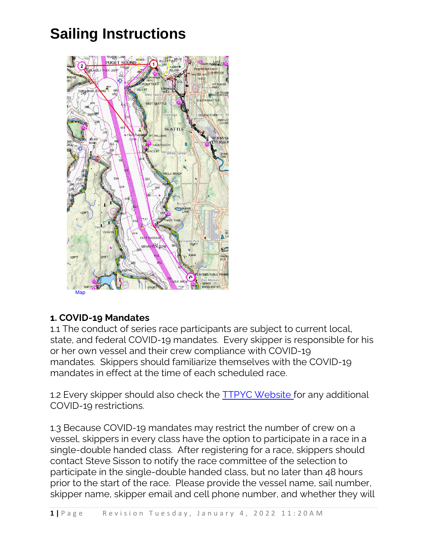

### **1. COVID-19 Mandates**

1.1 The conduct of series race participants are subject to current local, state, and federal COVID-19 mandates. Every skipper is responsible for his or her own vessel and their crew compliance with COVID-19 mandates. Skippers should familiarize themselves with the COVID-19 mandates in effect at the time of each scheduled race.

1.2 Every skipper should also check the TTPYC [Website](https://www.ttpyc.org/duwamish-head-race) for any additional COVID-19 restrictions.

1.3 Because COVID-19 mandates may restrict the number of crew on a vessel, skippers in every class have the option to participate in a race in a single-double handed class. After registering for a race, skippers should contact Steve Sisson to notify the race committee of the selection to participate in the single-double handed class, but no later than 48 hours prior to the start of the race. Please provide the vessel name, sail number, skipper name, skipper email and cell phone number, and whether they will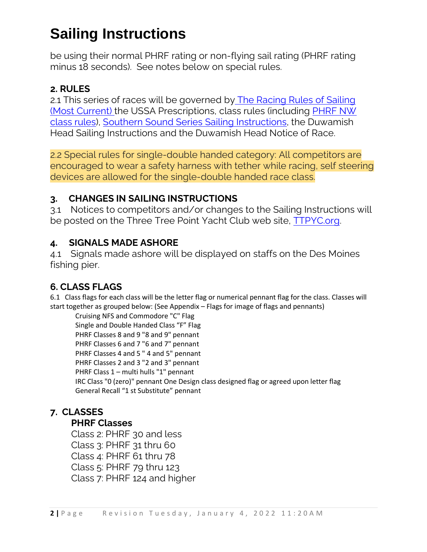be using their normal PHRF rating or non-flying sail rating (PHRF rating minus 18 seconds). See notes below on special rules.

#### **2. RULES**

2.1 This series of races will be governed by The [Racing](https://www.sailing.org/documents/racingrules/index.php) Rules of Sailing (Most [Current\)](https://www.sailing.org/documents/racingrules/index.php) the USSA Prescriptions, class rules (including [PHRF](http://phrf-nw.org/welcome-to-phrf-nw/class-rules/) NW class [rules\)](http://phrf-nw.org/welcome-to-phrf-nw/class-rules/), Southern Sound Series Sailing [Instructions,](http://ssseries.org/) the Duwamish Head Sailing Instructions and the Duwamish Head Notice of Race.

2.2 Special rules for single-double handed category: All competitors are encouraged to wear a safety harness with tether while racing, self steering devices are allowed for the single-double handed race class.

#### **3. CHANGES IN SAILING INSTRUCTIONS**

3.1 Notices to competitors and/or changes to the Sailing Instructions will be posted on the Three Tree Point Yacht Club web site, **[TTPYC.org.](https://www.ttpyc.org/)** 

#### **4. SIGNALS MADE ASHORE**

4.1 Signals made ashore will be displayed on staffs on the Des Moines fishing pier.

### **6. CLASS FLAGS**

6.1 Class flags for each class will be the letter flag or numerical pennant flag for the class. Classes will start together as grouped below: (See Appendix – Flags for image of flags and pennants)

Cruising NFS and Commodore "C" Flag Single and Double Handed Class "F" Flag PHRF Classes 8 and 9 "8 and 9" pennant PHRF Classes 6 and 7 "6 and 7" pennant PHRF Classes 4 and 5" 4 and 5" pennant PHRF Classes 2 and 3 "2 and 3" pennant PHRF Class 1 – multi hulls "1" pennant IRC Class "0 (zero)" pennant One Design class designed flag or agreed upon letter flag General Recall "1 st Substitute" pennant

### **7. CLASSES**

#### **PHRF Classes**

Class 2: PHRF 30 and less Class 3: PHRF 31 thru 60 Class 4: PHRF 61 thru 78 Class 5: PHRF 79 thru 123 Class 7: PHRF 124 and higher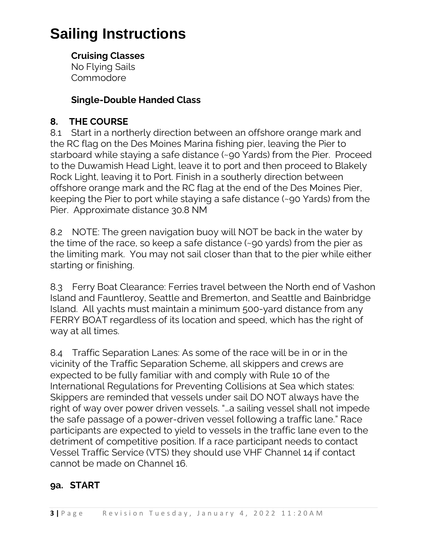**Cruising Classes** No Flying Sails Commodore

### **Single-Double Handed Class**

### **8. THE COURSE**

8.1 Start in a northerly direction between an offshore orange mark and the RC flag on the Des Moines Marina fishing pier, leaving the Pier to starboard while staying a safe distance (~90 Yards) from the Pier. Proceed to the Duwamish Head Light, leave it to port and then proceed to Blakely Rock Light, leaving it to Port. Finish in a southerly direction between offshore orange mark and the RC flag at the end of the Des Moines Pier, keeping the Pier to port while staying a safe distance (~90 Yards) from the Pier. Approximate distance 30.8 NM

8.2 NOTE: The green navigation buoy will NOT be back in the water by the time of the race, so keep a safe distance (~90 yards) from the pier as the limiting mark. You may not sail closer than that to the pier while either starting or finishing.

8.3 Ferry Boat Clearance: Ferries travel between the North end of Vashon Island and Fauntleroy, Seattle and Bremerton, and Seattle and Bainbridge Island. All yachts must maintain a minimum 500-yard distance from any FERRY BOAT regardless of its location and speed, which has the right of way at all times.

8.4 Traffic Separation Lanes: As some of the race will be in or in the vicinity of the Traffic Separation Scheme, all skippers and crews are expected to be fully familiar with and comply with Rule 10 of the International Regulations for Preventing Collisions at Sea which states: Skippers are reminded that vessels under sail DO NOT always have the right of way over power driven vessels. "…a sailing vessel shall not impede the safe passage of a power-driven vessel following a traffic lane." Race participants are expected to yield to vessels in the traffic lane even to the detriment of competitive position. If a race participant needs to contact Vessel Traffic Service (VTS) they should use VHF Channel 14 if contact cannot be made on Channel 16.

### **9a. START**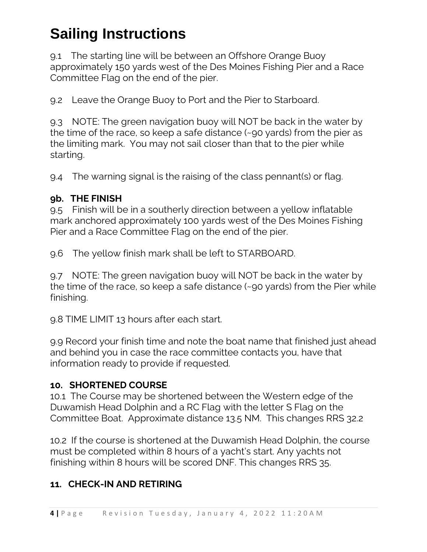9.1 The starting line will be between an Offshore Orange Buoy approximately 150 yards west of the Des Moines Fishing Pier and a Race Committee Flag on the end of the pier.

9.2 Leave the Orange Buoy to Port and the Pier to Starboard.

9.3 NOTE: The green navigation buoy will NOT be back in the water by the time of the race, so keep a safe distance (~90 yards) from the pier as the limiting mark. You may not sail closer than that to the pier while starting.

9.4 The warning signal is the raising of the class pennant(s) or flag.

#### **9b. THE FINISH**

9.5 Finish will be in a southerly direction between a yellow inflatable mark anchored approximately 100 yards west of the Des Moines Fishing Pier and a Race Committee Flag on the end of the pier.

9.6 The yellow finish mark shall be left to STARBOARD.

9.7 NOTE: The green navigation buoy will NOT be back in the water by the time of the race, so keep a safe distance (~90 yards) from the Pier while finishing.

9.8 TIME LIMIT 13 hours after each start.

9.9 Record your finish time and note the boat name that finished just ahead and behind you in case the race committee contacts you, have that information ready to provide if requested.

#### **10. SHORTENED COURSE**

10.1 The Course may be shortened between the Western edge of the Duwamish Head Dolphin and a RC Flag with the letter S Flag on the Committee Boat. Approximate distance 13.5 NM. This changes RRS 32.2

10.2 If the course is shortened at the Duwamish Head Dolphin, the course must be completed within 8 hours of a yacht's start. Any yachts not finishing within 8 hours will be scored DNF. This changes RRS 35.

### **11. CHECK-IN AND RETIRING**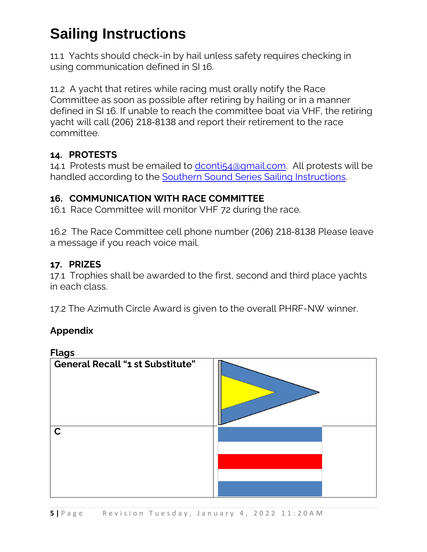11.1 Yachts should check-in by hail unless safety requires checking in using communication defined in SI 16.

11.2 A yacht that retires while racing must orally notify the Race Committee as soon as possible after retiring by hailing or in a manner defined in SI 16. If unable to reach the committee boat via VHF, the retiring yacht will call (206) 218-8138 and report their retirement to the race committee.

### **14. PROTESTS**

14.1 Protests must be emailed to [dconti54@gmail.com.](mailto:dconti54@gmail.com?subject=Duwamish%20Head%20Protest) All protests will be handled according to the Southern Sound Series Sailing [Instructions.](http://ssseries.org/)

### **16. COMMUNICATION WITH RACE COMMITTEE**

16.1 Race Committee will monitor VHF 72 during the race.

16.2 The Race Committee cell phone number (206) 218-8138 Please leave a message if you reach voice mail.

### **17. PRIZES**

17.1 Trophies shall be awarded to the first, second and third place yachts in each class.

17.2 The Azimuth Circle Award is given to the overall PHRF-NW winner.

### **Appendix**

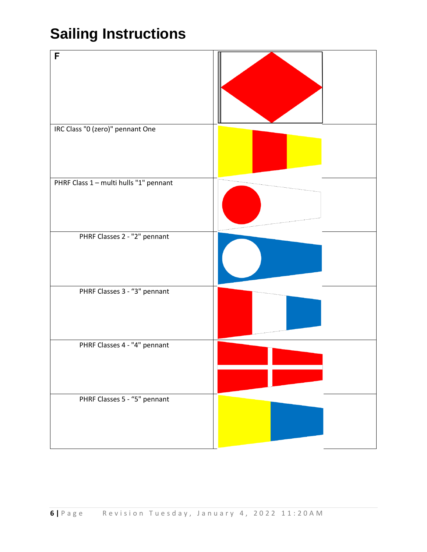| F                                      |  |
|----------------------------------------|--|
| IRC Class "0 (zero)" pennant One       |  |
| PHRF Class 1 - multi hulls "1" pennant |  |
| PHRF Classes 2 - "2" pennant           |  |
| PHRF Classes 3 - "3" pennant           |  |
| PHRF Classes 4 - "4" pennant           |  |
|                                        |  |
| PHRF Classes 5 - "5" pennant           |  |